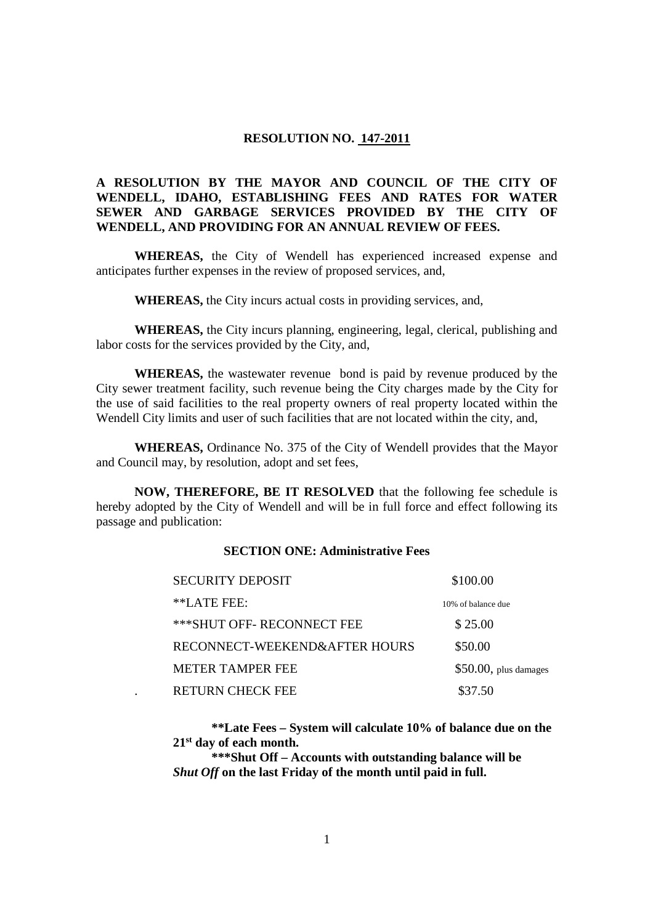# **RESOLUTION NO. 147-2011**

# **A RESOLUTION BY THE MAYOR AND COUNCIL OF THE CITY OF WENDELL, IDAHO, ESTABLISHING FEES AND RATES FOR WATER SEWER AND GARBAGE SERVICES PROVIDED BY THE CITY OF WENDELL, AND PROVIDING FOR AN ANNUAL REVIEW OF FEES.**

**WHEREAS,** the City of Wendell has experienced increased expense and anticipates further expenses in the review of proposed services, and,

**WHEREAS,** the City incurs actual costs in providing services, and,

**WHEREAS,** the City incurs planning, engineering, legal, clerical, publishing and labor costs for the services provided by the City, and,

**WHEREAS,** the wastewater revenue bond is paid by revenue produced by the City sewer treatment facility, such revenue being the City charges made by the City for the use of said facilities to the real property owners of real property located within the Wendell City limits and user of such facilities that are not located within the city, and,

**WHEREAS,** Ordinance No. 375 of the City of Wendell provides that the Mayor and Council may, by resolution, adopt and set fees,

**NOW, THEREFORE, BE IT RESOLVED** that the following fee schedule is hereby adopted by the City of Wendell and will be in full force and effect following its passage and publication:

# **SECTION ONE: Administrative Fees**

| <b>SECURITY DEPOSIT</b>       | \$100.00                |
|-------------------------------|-------------------------|
| $*LATE$ FEE:                  | 10% of balance due      |
| *** SHUT OFF-RECONNECT FEE    | \$25.00                 |
| RECONNECT-WEEKEND&AFTER HOURS | \$50.00                 |
| <b>METER TAMPER FEE</b>       | $$50.00$ , plus damages |
| <b>RETURN CHECK FEE</b>       | \$37.50                 |

**\*\*Late Fees – System will calculate 10% of balance due on the 21st day of each month.** 

**\*\*\*Shut Off – Accounts with outstanding balance will be**  *Shut Off* **on the last Friday of the month until paid in full.**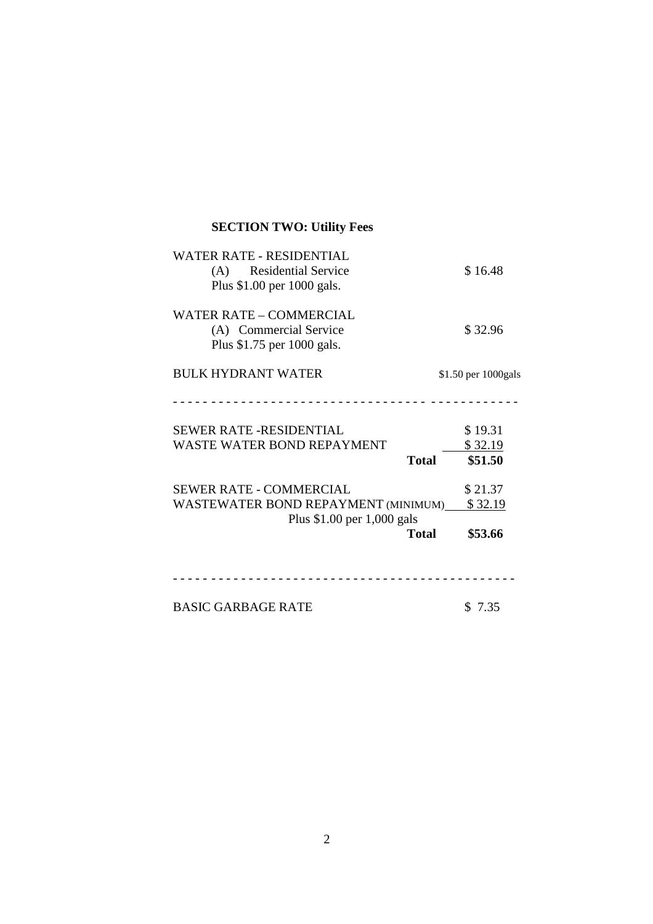| <b>WATER RATE - RESIDENTIAL</b><br>(A) Residential Service<br>Plus \$1.00 per 1000 gals.            | \$16.48                                       |
|-----------------------------------------------------------------------------------------------------|-----------------------------------------------|
| WATER RATE – COMMERCIAL<br>(A) Commercial Service<br>Plus \$1.75 per 1000 gals.                     | \$32.96                                       |
| <b>BULK HYDRANT WATER</b>                                                                           | \$1.50 per 1000gals                           |
|                                                                                                     |                                               |
| <b>SEWER RATE -RESIDENTIAL</b><br><b>WASTE WATER BOND REPAYMENT</b>                                 | \$19.31<br>\$32.19<br>\$51.50<br><b>Total</b> |
| <b>SEWER RATE - COMMERCIAL</b><br>WASTEWATER BOND REPAYMENT (MINIMUM)<br>Plus \$1.00 per 1,000 gals | \$21.37<br>\$32.19<br><b>Total</b><br>\$53.66 |
| <b>BASIC GARBAGE RATE</b>                                                                           | \$7.35                                        |

**SECTION TWO: Utility Fees** 

2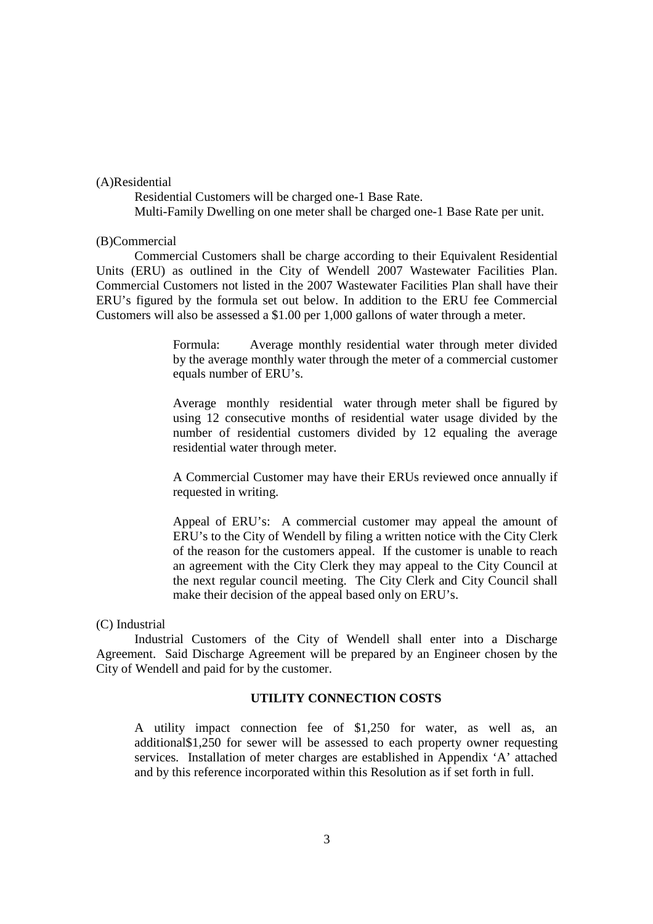## (A)Residential

 Residential Customers will be charged one-1 Base Rate. Multi-Family Dwelling on one meter shall be charged one-1 Base Rate per unit.

#### (B)Commercial

 Commercial Customers shall be charge according to their Equivalent Residential Units (ERU) as outlined in the City of Wendell 2007 Wastewater Facilities Plan. Commercial Customers not listed in the 2007 Wastewater Facilities Plan shall have their ERU's figured by the formula set out below. In addition to the ERU fee Commercial Customers will also be assessed a \$1.00 per 1,000 gallons of water through a meter.

> Formula: Average monthly residential water through meter divided by the average monthly water through the meter of a commercial customer equals number of ERU's.

> Average monthly residential water through meter shall be figured by using 12 consecutive months of residential water usage divided by the number of residential customers divided by 12 equaling the average residential water through meter.

> A Commercial Customer may have their ERUs reviewed once annually if requested in writing.

> Appeal of ERU's: A commercial customer may appeal the amount of ERU's to the City of Wendell by filing a written notice with the City Clerk of the reason for the customers appeal. If the customer is unable to reach an agreement with the City Clerk they may appeal to the City Council at the next regular council meeting. The City Clerk and City Council shall make their decision of the appeal based only on ERU's.

#### (C) Industrial

 Industrial Customers of the City of Wendell shall enter into a Discharge Agreement. Said Discharge Agreement will be prepared by an Engineer chosen by the City of Wendell and paid for by the customer.

## **UTILITY CONNECTION COSTS**

A utility impact connection fee of \$1,250 for water, as well as, an additional\$1,250 for sewer will be assessed to each property owner requesting services. Installation of meter charges are established in Appendix 'A' attached and by this reference incorporated within this Resolution as if set forth in full.